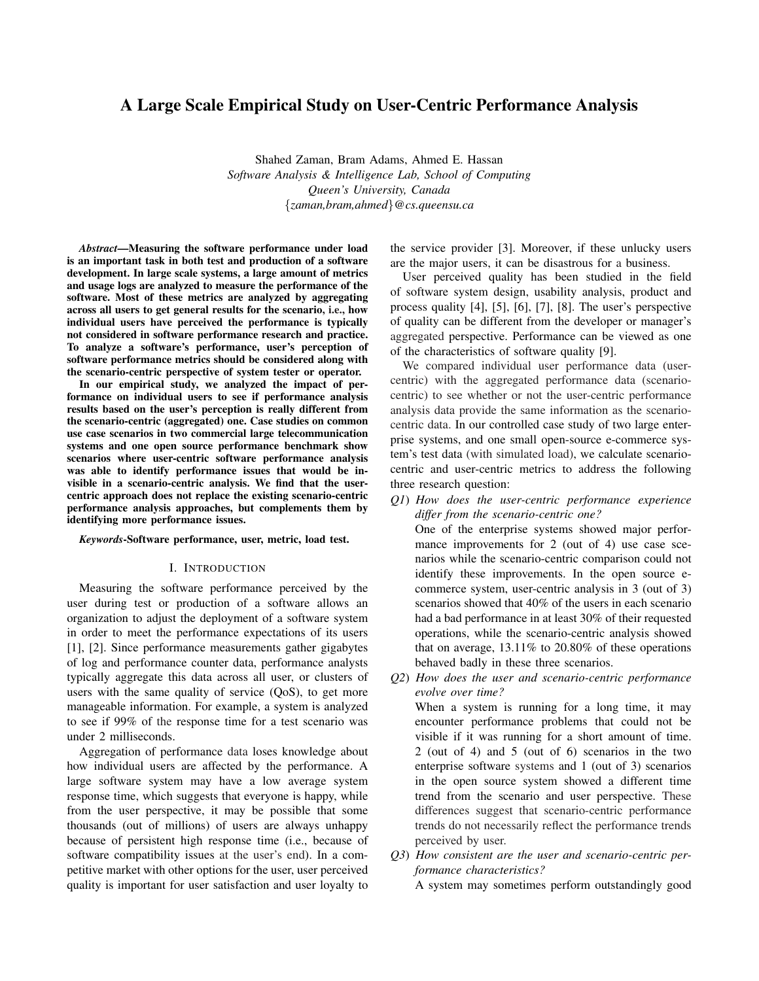# A Large Scale Empirical Study on User-Centric Performance Analysis

Shahed Zaman, Bram Adams, Ahmed E. Hassan *Software Analysis & Intelligence Lab, School of Computing Queen's University, Canada* {*zaman,bram,ahmed*}*@cs.queensu.ca*

*Abstract*—Measuring the software performance under load is an important task in both test and production of a software development. In large scale systems, a large amount of metrics and usage logs are analyzed to measure the performance of the software. Most of these metrics are analyzed by aggregating across all users to get general results for the scenario, i.e., how individual users have perceived the performance is typically not considered in software performance research and practice. To analyze a software's performance, user's perception of software performance metrics should be considered along with the scenario-centric perspective of system tester or operator.

In our empirical study, we analyzed the impact of performance on individual users to see if performance analysis results based on the user's perception is really different from the scenario-centric (aggregated) one. Case studies on common use case scenarios in two commercial large telecommunication systems and one open source performance benchmark show scenarios where user-centric software performance analysis was able to identify performance issues that would be invisible in a scenario-centric analysis. We find that the usercentric approach does not replace the existing scenario-centric performance analysis approaches, but complements them by identifying more performance issues.

#### *Keywords*-Software performance, user, metric, load test.

#### I. INTRODUCTION

Measuring the software performance perceived by the user during test or production of a software allows an organization to adjust the deployment of a software system in order to meet the performance expectations of its users [1], [2]. Since performance measurements gather gigabytes of log and performance counter data, performance analysts typically aggregate this data across all user, or clusters of users with the same quality of service (QoS), to get more manageable information. For example, a system is analyzed to see if 99% of the response time for a test scenario was under 2 milliseconds.

Aggregation of performance data loses knowledge about how individual users are affected by the performance. A large software system may have a low average system response time, which suggests that everyone is happy, while from the user perspective, it may be possible that some thousands (out of millions) of users are always unhappy because of persistent high response time (i.e., because of software compatibility issues at the user's end). In a competitive market with other options for the user, user perceived quality is important for user satisfaction and user loyalty to the service provider [3]. Moreover, if these unlucky users are the major users, it can be disastrous for a business.

User perceived quality has been studied in the field of software system design, usability analysis, product and process quality [4], [5], [6], [7], [8]. The user's perspective of quality can be different from the developer or manager's aggregated perspective. Performance can be viewed as one of the characteristics of software quality [9].

We compared individual user performance data (usercentric) with the aggregated performance data (scenariocentric) to see whether or not the user-centric performance analysis data provide the same information as the scenariocentric data. In our controlled case study of two large enterprise systems, and one small open-source e-commerce system's test data (with simulated load), we calculate scenariocentric and user-centric metrics to address the following three research question:

*Q1*) *How does the user-centric performance experience differ from the scenario-centric one?*

One of the enterprise systems showed major performance improvements for 2 (out of 4) use case scenarios while the scenario-centric comparison could not identify these improvements. In the open source ecommerce system, user-centric analysis in 3 (out of 3) scenarios showed that 40% of the users in each scenario had a bad performance in at least 30% of their requested operations, while the scenario-centric analysis showed that on average, 13.11% to 20.80% of these operations behaved badly in these three scenarios.

*Q2*) *How does the user and scenario-centric performance evolve over time?*

When a system is running for a long time, it may encounter performance problems that could not be visible if it was running for a short amount of time. 2 (out of 4) and 5 (out of 6) scenarios in the two enterprise software systems and 1 (out of 3) scenarios in the open source system showed a different time trend from the scenario and user perspective. These differences suggest that scenario-centric performance trends do not necessarily reflect the performance trends perceived by user.

# *Q3*) *How consistent are the user and scenario-centric performance characteristics?*

A system may sometimes perform outstandingly good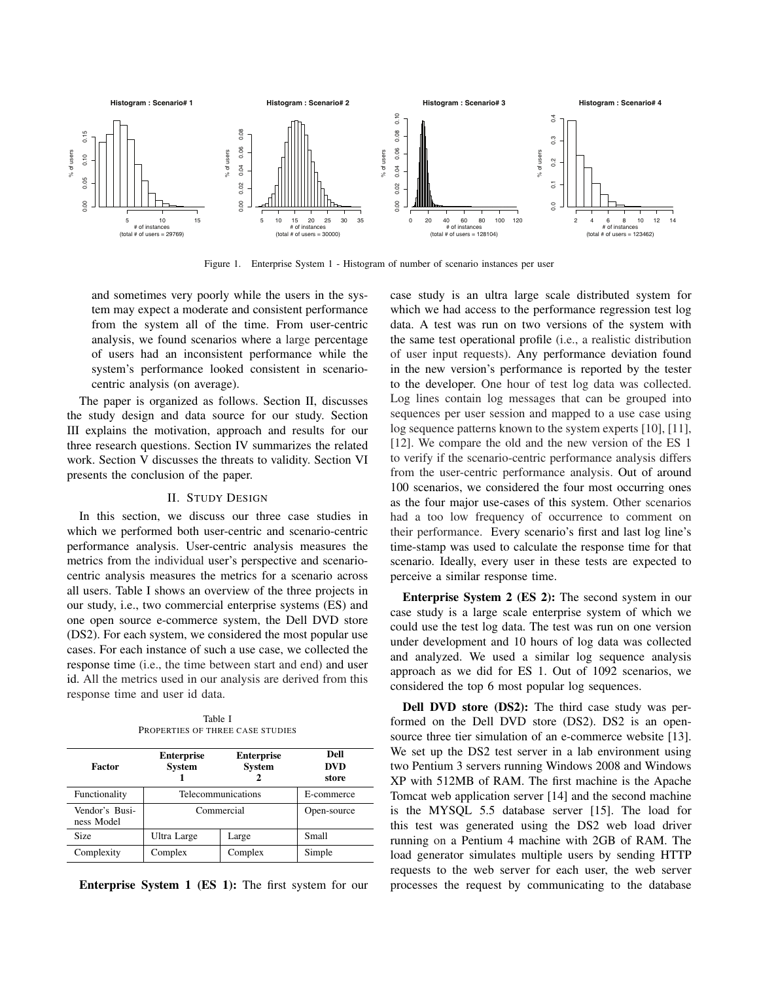

Figure 1. Enterprise System 1 - Histogram of number of scenario instances per user

and sometimes very poorly while the users in the system may expect a moderate and consistent performance from the system all of the time. From user-centric analysis, we found scenarios where a large percentage of users had an inconsistent performance while the system's performance looked consistent in scenariocentric analysis (on average).

The paper is organized as follows. Section II, discusses the study design and data source for our study. Section III explains the motivation, approach and results for our three research questions. Section IV summarizes the related work. Section V discusses the threats to validity. Section VI presents the conclusion of the paper.

### II. STUDY DESIGN

In this section, we discuss our three case studies in which we performed both user-centric and scenario-centric performance analysis. User-centric analysis measures the metrics from the individual user's perspective and scenariocentric analysis measures the metrics for a scenario across all users. Table I shows an overview of the three projects in our study, i.e., two commercial enterprise systems (ES) and one open source e-commerce system, the Dell DVD store (DS2). For each system, we considered the most popular use cases. For each instance of such a use case, we collected the response time (i.e., the time between start and end) and user id. All the metrics used in our analysis are derived from this response time and user id data.

Table I PROPERTIES OF THREE CASE STUDIES

| <b>Factor</b>                | <b>Enterprise</b><br><b>System</b> | <b>Enterprise</b><br><b>System</b> | Dell<br><b>DVD</b><br>store |
|------------------------------|------------------------------------|------------------------------------|-----------------------------|
| Functionality                | Telecommunications                 |                                    | E-commerce                  |
| Vendor's Busi-<br>ness Model | Commercial                         |                                    | Open-source                 |
| Size                         | Ultra Large                        | Large                              | Small                       |
| Complexity                   | Complex                            | Complex                            | Simple                      |

Enterprise System 1 (ES 1): The first system for our

case study is an ultra large scale distributed system for which we had access to the performance regression test log data. A test was run on two versions of the system with the same test operational profile (i.e., a realistic distribution of user input requests). Any performance deviation found in the new version's performance is reported by the tester to the developer. One hour of test log data was collected. Log lines contain log messages that can be grouped into sequences per user session and mapped to a use case using log sequence patterns known to the system experts [10], [11], [12]. We compare the old and the new version of the ES 1 to verify if the scenario-centric performance analysis differs from the user-centric performance analysis. Out of around 100 scenarios, we considered the four most occurring ones as the four major use-cases of this system. Other scenarios had a too low frequency of occurrence to comment on their performance. Every scenario's first and last log line's time-stamp was used to calculate the response time for that scenario. Ideally, every user in these tests are expected to perceive a similar response time.

Enterprise System 2 (ES 2): The second system in our case study is a large scale enterprise system of which we could use the test log data. The test was run on one version under development and 10 hours of log data was collected and analyzed. We used a similar log sequence analysis approach as we did for ES 1. Out of 1092 scenarios, we considered the top 6 most popular log sequences.

Dell DVD store (DS2): The third case study was performed on the Dell DVD store (DS2). DS2 is an opensource three tier simulation of an e-commerce website [13]. We set up the DS2 test server in a lab environment using two Pentium 3 servers running Windows 2008 and Windows XP with 512MB of RAM. The first machine is the Apache Tomcat web application server [14] and the second machine is the MYSQL 5.5 database server [15]. The load for this test was generated using the DS2 web load driver running on a Pentium 4 machine with 2GB of RAM. The load generator simulates multiple users by sending HTTP requests to the web server for each user, the web server processes the request by communicating to the database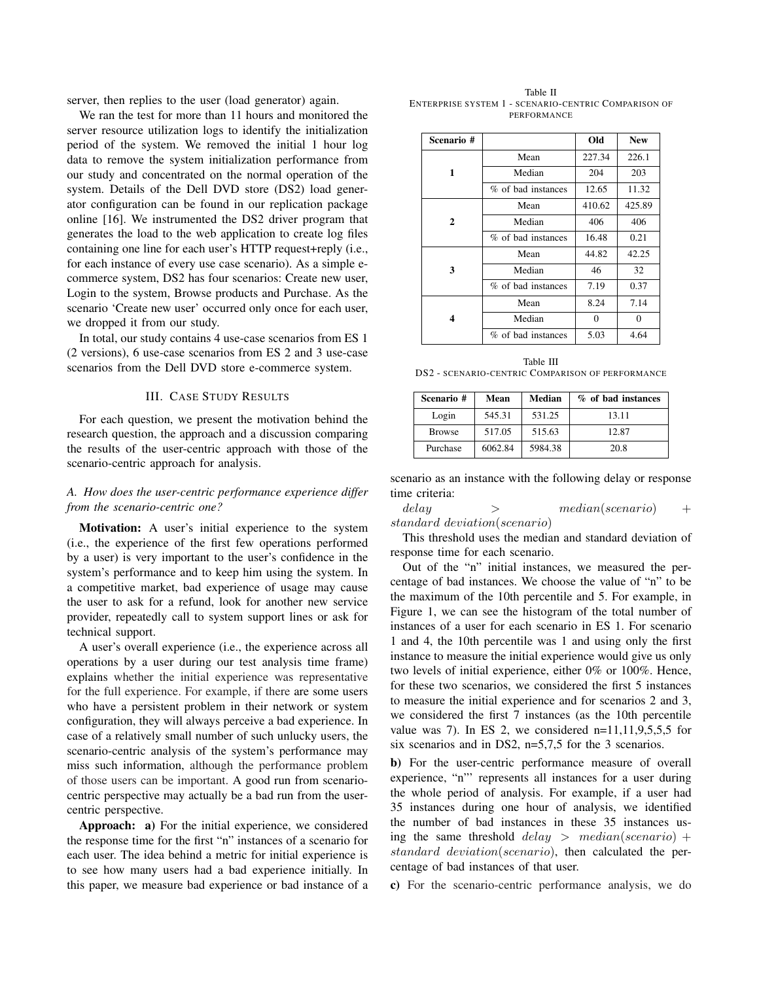server, then replies to the user (load generator) again.

We ran the test for more than 11 hours and monitored the server resource utilization logs to identify the initialization period of the system. We removed the initial 1 hour log data to remove the system initialization performance from our study and concentrated on the normal operation of the system. Details of the Dell DVD store (DS2) load generator configuration can be found in our replication package online [16]. We instrumented the DS2 driver program that generates the load to the web application to create log files containing one line for each user's HTTP request+reply (i.e., for each instance of every use case scenario). As a simple ecommerce system, DS2 has four scenarios: Create new user, Login to the system, Browse products and Purchase. As the scenario 'Create new user' occurred only once for each user, we dropped it from our study.

In total, our study contains 4 use-case scenarios from ES 1 (2 versions), 6 use-case scenarios from ES 2 and 3 use-case scenarios from the Dell DVD store e-commerce system.

### III. CASE STUDY RESULTS

For each question, we present the motivation behind the research question, the approach and a discussion comparing the results of the user-centric approach with those of the scenario-centric approach for analysis.

### *A. How does the user-centric performance experience differ from the scenario-centric one?*

Motivation: A user's initial experience to the system (i.e., the experience of the first few operations performed by a user) is very important to the user's confidence in the system's performance and to keep him using the system. In a competitive market, bad experience of usage may cause the user to ask for a refund, look for another new service provider, repeatedly call to system support lines or ask for technical support.

A user's overall experience (i.e., the experience across all operations by a user during our test analysis time frame) explains whether the initial experience was representative for the full experience. For example, if there are some users who have a persistent problem in their network or system configuration, they will always perceive a bad experience. In case of a relatively small number of such unlucky users, the scenario-centric analysis of the system's performance may miss such information, although the performance problem of those users can be important. A good run from scenariocentric perspective may actually be a bad run from the usercentric perspective.

Approach: a) For the initial experience, we considered the response time for the first "n" instances of a scenario for each user. The idea behind a metric for initial experience is to see how many users had a bad experience initially. In this paper, we measure bad experience or bad instance of a

Table II ENTERPRISE SYSTEM 1 - SCENARIO-CENTRIC COMPARISON OF PERFORMANCE

| Scenario #   |                    | Old    | <b>New</b> |
|--------------|--------------------|--------|------------|
|              | Mean               | 227.34 | 226.1      |
| 1            | Median             | 204    | 203        |
|              | % of bad instances | 12.65  | 11.32      |
|              | Mean               | 410.62 | 425.89     |
| $\mathbf{2}$ | Median             | 406    | 406        |
|              | % of bad instances | 16.48  | 0.21       |
|              | Mean               | 44.82  | 42.25      |
| 3            | Median             | 46     | 32         |
|              | % of bad instances | 7.19   | 0.37       |
|              | Mean               | 8.24   | 7.14       |
| 4            | Median             | 0      | 0          |
|              | % of bad instances | 5.03   | 4.64       |

| Table III                                        |
|--------------------------------------------------|
| DS2 - scenario-centric Comparison of performance |

| Scenario #    | Mean    | Median  | % of bad instances |
|---------------|---------|---------|--------------------|
| Login         | 545.31  | 531.25  | 13.11              |
| <b>Browse</b> | 517.05  | 515.63  | 12.87              |
| Purchase      | 6062.84 | 5984.38 | 20.8               |

scenario as an instance with the following delay or response time criteria:

 $delay \rightarrow median(scenario) +$ standard deviation(scenario)

This threshold uses the median and standard deviation of response time for each scenario.

Out of the "n" initial instances, we measured the percentage of bad instances. We choose the value of "n" to be the maximum of the 10th percentile and 5. For example, in Figure 1, we can see the histogram of the total number of instances of a user for each scenario in ES 1. For scenario 1 and 4, the 10th percentile was 1 and using only the first instance to measure the initial experience would give us only two levels of initial experience, either 0% or 100%. Hence, for these two scenarios, we considered the first 5 instances to measure the initial experience and for scenarios 2 and 3, we considered the first 7 instances (as the 10th percentile value was 7). In ES 2, we considered  $n=11,11,9,5,5,5$  for six scenarios and in DS2, n=5,7,5 for the 3 scenarios.

b) For the user-centric performance measure of overall experience, "n"' represents all instances for a user during the whole period of analysis. For example, if a user had 35 instances during one hour of analysis, we identified the number of bad instances in these 35 instances using the same threshold  $delay > median(scenario) +$ standard deviation(scenario), then calculated the percentage of bad instances of that user.

c) For the scenario-centric performance analysis, we do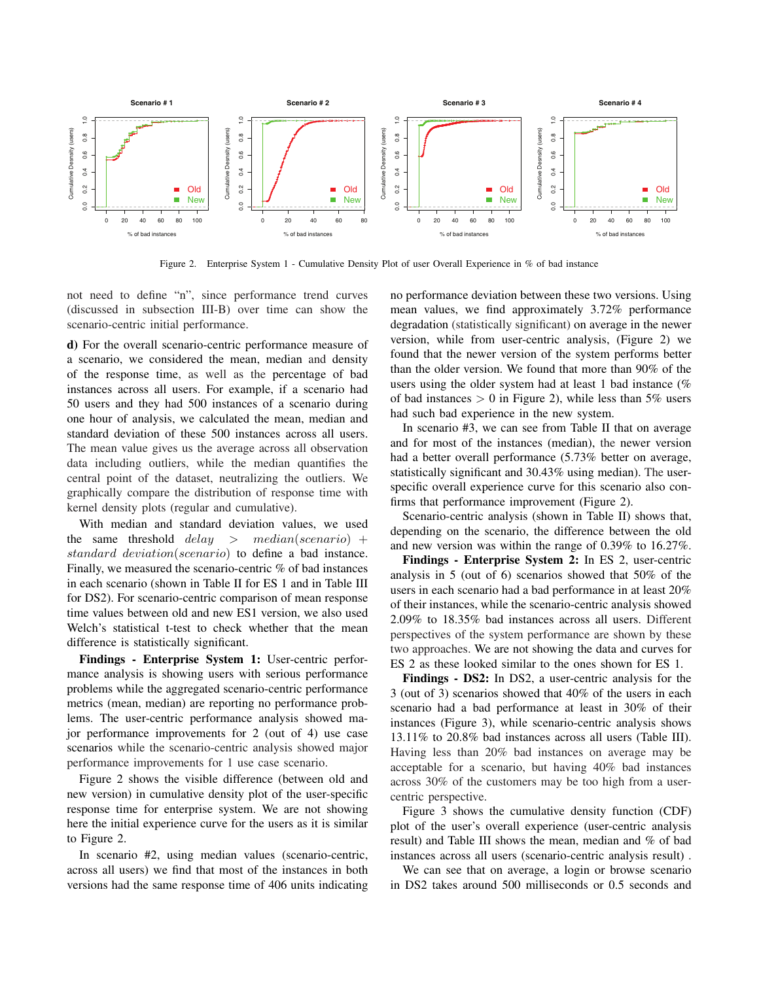

Figure 2. Enterprise System 1 - Cumulative Density Plot of user Overall Experience in % of bad instance

not need to define "n", since performance trend curves (discussed in subsection III-B) over time can show the scenario-centric initial performance.

d) For the overall scenario-centric performance measure of a scenario, we considered the mean, median and density of the response time, as well as the percentage of bad instances across all users. For example, if a scenario had 50 users and they had 500 instances of a scenario during one hour of analysis, we calculated the mean, median and standard deviation of these 500 instances across all users. The mean value gives us the average across all observation data including outliers, while the median quantifies the central point of the dataset, neutralizing the outliers. We graphically compare the distribution of response time with kernel density plots (regular and cumulative).

With median and standard deviation values, we used the same threshold  $delay \rightarrow median(scenario) +$ standard deviation(scenario) to define a bad instance. Finally, we measured the scenario-centric % of bad instances in each scenario (shown in Table II for ES 1 and in Table III for DS2). For scenario-centric comparison of mean response time values between old and new ES1 version, we also used Welch's statistical t-test to check whether that the mean difference is statistically significant.

Findings - Enterprise System 1: User-centric performance analysis is showing users with serious performance problems while the aggregated scenario-centric performance metrics (mean, median) are reporting no performance problems. The user-centric performance analysis showed major performance improvements for 2 (out of 4) use case scenarios while the scenario-centric analysis showed major performance improvements for 1 use case scenario.

Figure 2 shows the visible difference (between old and new version) in cumulative density plot of the user-specific response time for enterprise system. We are not showing here the initial experience curve for the users as it is similar to Figure 2.

In scenario #2, using median values (scenario-centric, across all users) we find that most of the instances in both versions had the same response time of 406 units indicating no performance deviation between these two versions. Using mean values, we find approximately 3.72% performance degradation (statistically significant) on average in the newer version, while from user-centric analysis, (Figure 2) we found that the newer version of the system performs better than the older version. We found that more than 90% of the users using the older system had at least 1 bad instance (% of bad instances  $> 0$  in Figure 2), while less than 5% users had such bad experience in the new system.

In scenario #3, we can see from Table II that on average and for most of the instances (median), the newer version had a better overall performance (5.73% better on average, statistically significant and 30.43% using median). The userspecific overall experience curve for this scenario also confirms that performance improvement (Figure 2).

Scenario-centric analysis (shown in Table II) shows that, depending on the scenario, the difference between the old and new version was within the range of 0.39% to 16.27%.

Findings - Enterprise System 2: In ES 2, user-centric analysis in 5 (out of 6) scenarios showed that 50% of the users in each scenario had a bad performance in at least 20% of their instances, while the scenario-centric analysis showed 2.09% to 18.35% bad instances across all users. Different perspectives of the system performance are shown by these two approaches. We are not showing the data and curves for ES 2 as these looked similar to the ones shown for ES 1.

Findings - DS2: In DS2, a user-centric analysis for the 3 (out of 3) scenarios showed that 40% of the users in each scenario had a bad performance at least in 30% of their instances (Figure 3), while scenario-centric analysis shows 13.11% to 20.8% bad instances across all users (Table III). Having less than 20% bad instances on average may be acceptable for a scenario, but having 40% bad instances across 30% of the customers may be too high from a usercentric perspective.

Figure 3 shows the cumulative density function (CDF) plot of the user's overall experience (user-centric analysis result) and Table III shows the mean, median and % of bad instances across all users (scenario-centric analysis result) .

We can see that on average, a login or browse scenario in DS2 takes around 500 milliseconds or 0.5 seconds and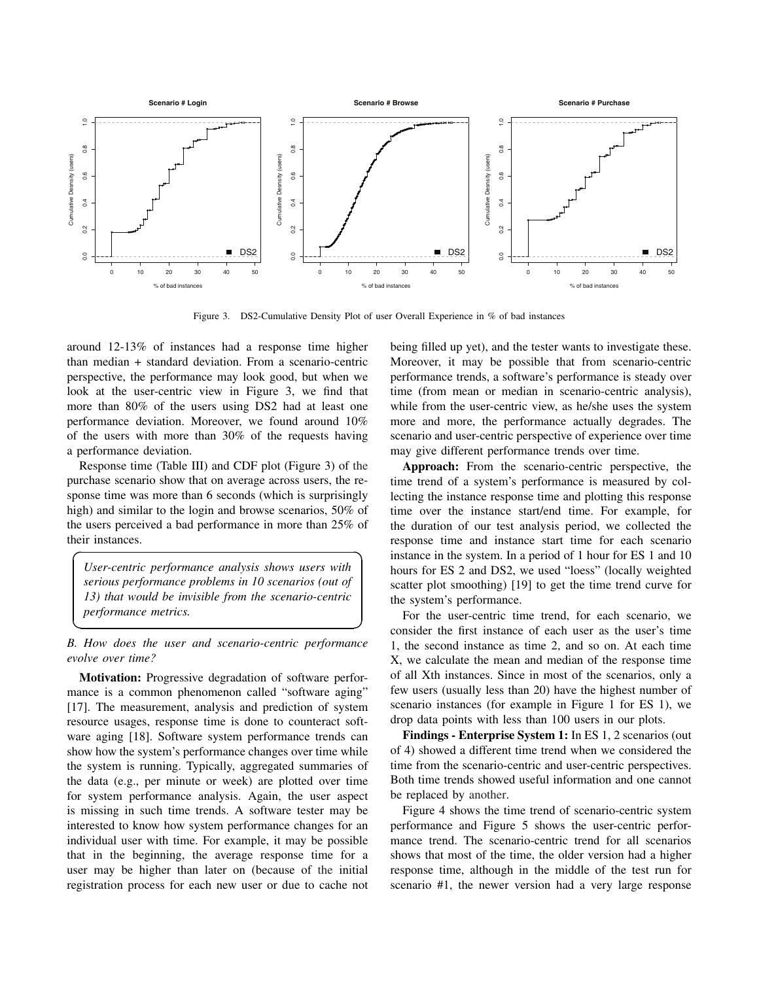

Figure 3. DS2-Cumulative Density Plot of user Overall Experience in % of bad instances

around 12-13% of instances had a response time higher than median + standard deviation. From a scenario-centric perspective, the performance may look good, but when we look at the user-centric view in Figure 3, we find that more than 80% of the users using DS2 had at least one performance deviation. Moreover, we found around 10% of the users with more than 30% of the requests having a performance deviation.

Response time (Table III) and CDF plot (Figure 3) of the purchase scenario show that on average across users, the response time was more than 6 seconds (which is surprisingly high) and similar to the login and browse scenarios, 50% of the users perceived a bad performance in more than 25% of their instances.

*User-centric performance analysis shows users with serious performance problems in 10 scenarios (out of 13) that would be invisible from the scenario-centric performance metrics.*

☛

 $\overline{\phantom{0}}$ 

*B. How does the user and scenario-centric performance evolve over time?*

Motivation: Progressive degradation of software performance is a common phenomenon called "software aging" [17]. The measurement, analysis and prediction of system resource usages, response time is done to counteract software aging [18]. Software system performance trends can show how the system's performance changes over time while the system is running. Typically, aggregated summaries of the data (e.g., per minute or week) are plotted over time for system performance analysis. Again, the user aspect is missing in such time trends. A software tester may be interested to know how system performance changes for an individual user with time. For example, it may be possible that in the beginning, the average response time for a user may be higher than later on (because of the initial registration process for each new user or due to cache not

being filled up yet), and the tester wants to investigate these. Moreover, it may be possible that from scenario-centric performance trends, a software's performance is steady over time (from mean or median in scenario-centric analysis), while from the user-centric view, as he/she uses the system more and more, the performance actually degrades. The scenario and user-centric perspective of experience over time may give different performance trends over time.

Approach: From the scenario-centric perspective, the time trend of a system's performance is measured by collecting the instance response time and plotting this response time over the instance start/end time. For example, for the duration of our test analysis period, we collected the response time and instance start time for each scenario instance in the system. In a period of 1 hour for ES 1 and 10 hours for ES 2 and DS2, we used "loess" (locally weighted scatter plot smoothing) [19] to get the time trend curve for the system's performance.

For the user-centric time trend, for each scenario, we consider the first instance of each user as the user's time 1, the second instance as time 2, and so on. At each time X, we calculate the mean and median of the response time of all Xth instances. Since in most of the scenarios, only a few users (usually less than 20) have the highest number of scenario instances (for example in Figure 1 for ES 1), we drop data points with less than 100 users in our plots.

Findings - Enterprise System 1: In ES 1, 2 scenarios (out of 4) showed a different time trend when we considered the time from the scenario-centric and user-centric perspectives. Both time trends showed useful information and one cannot be replaced by another.

Figure 4 shows the time trend of scenario-centric system performance and Figure 5 shows the user-centric performance trend. The scenario-centric trend for all scenarios shows that most of the time, the older version had a higher response time, although in the middle of the test run for scenario #1, the newer version had a very large response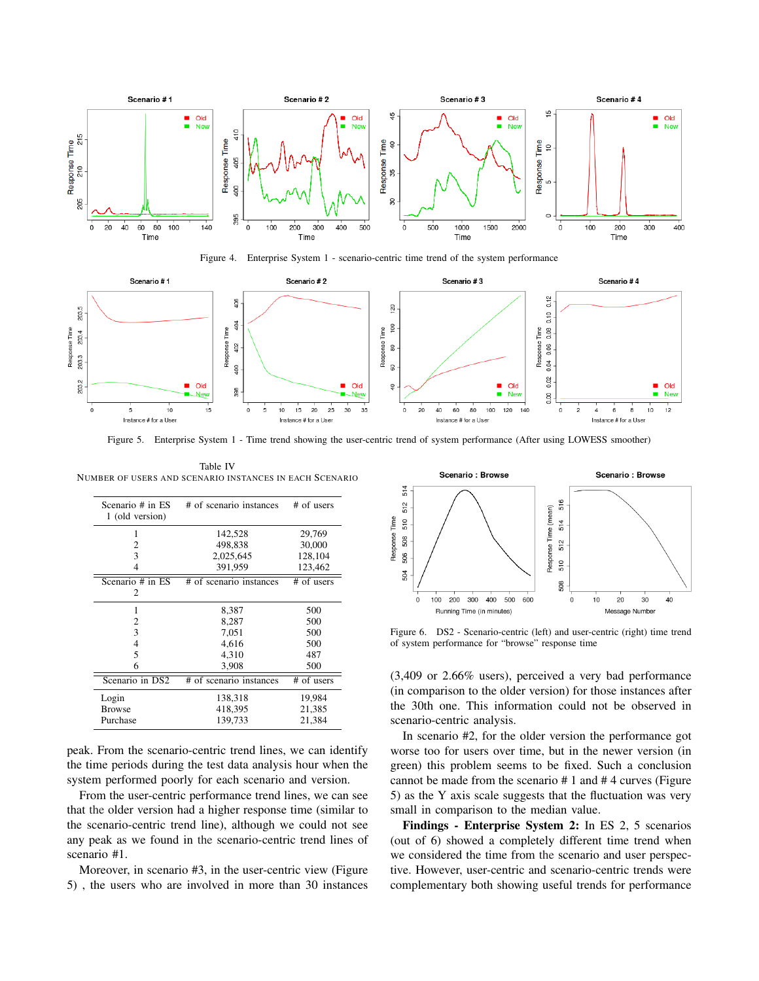

Figure 4. Enterprise System 1 - scenario-centric time trend of the system performance



Figure 5. Enterprise System 1 - Time trend showing the user-centric trend of system performance (After using LOWESS smoother)

Table IV NUMBER OF USERS AND SCENARIO INSTANCES IN EACH SCENARIO

| Scenario # in ES<br>1 (old version) | # of scenario instances | # of users |
|-------------------------------------|-------------------------|------------|
| 1                                   | 142,528                 | 29,769     |
| 2                                   | 498.838                 | 30,000     |
| 3                                   | 2,025,645               | 128,104    |
| 4                                   | 391.959                 | 123,462    |
| Scenario # in ES                    | # of scenario instances | # of users |
| 2                                   |                         |            |
| 1                                   | 8,387                   | 500        |
| 2                                   | 8,287                   | 500        |
| 3                                   | 7,051                   | 500        |
| 4                                   | 4,616                   | 500        |
| 5                                   | 4,310                   | 487        |
| 6                                   | 3.908                   | 500        |
| Scenario in DS2                     | # of scenario instances | # of users |
| Login                               | 138,318                 | 19,984     |
| <b>Browse</b>                       | 418,395                 | 21,385     |
| Purchase                            | 139,733                 | 21,384     |

peak. From the scenario-centric trend lines, we can identify the time periods during the test data analysis hour when the system performed poorly for each scenario and version.

From the user-centric performance trend lines, we can see that the older version had a higher response time (similar to the scenario-centric trend line), although we could not see any peak as we found in the scenario-centric trend lines of scenario #1.

Moreover, in scenario #3, in the user-centric view (Figure 5) , the users who are involved in more than 30 instances



Figure 6. DS2 - Scenario-centric (left) and user-centric (right) time trend of system performance for "browse" response time

(3,409 or 2.66% users), perceived a very bad performance (in comparison to the older version) for those instances after the 30th one. This information could not be observed in scenario-centric analysis.

In scenario #2, for the older version the performance got worse too for users over time, but in the newer version (in green) this problem seems to be fixed. Such a conclusion cannot be made from the scenario # 1 and # 4 curves (Figure 5) as the Y axis scale suggests that the fluctuation was very small in comparison to the median value.

Findings - Enterprise System 2: In ES 2, 5 scenarios (out of 6) showed a completely different time trend when we considered the time from the scenario and user perspective. However, user-centric and scenario-centric trends were complementary both showing useful trends for performance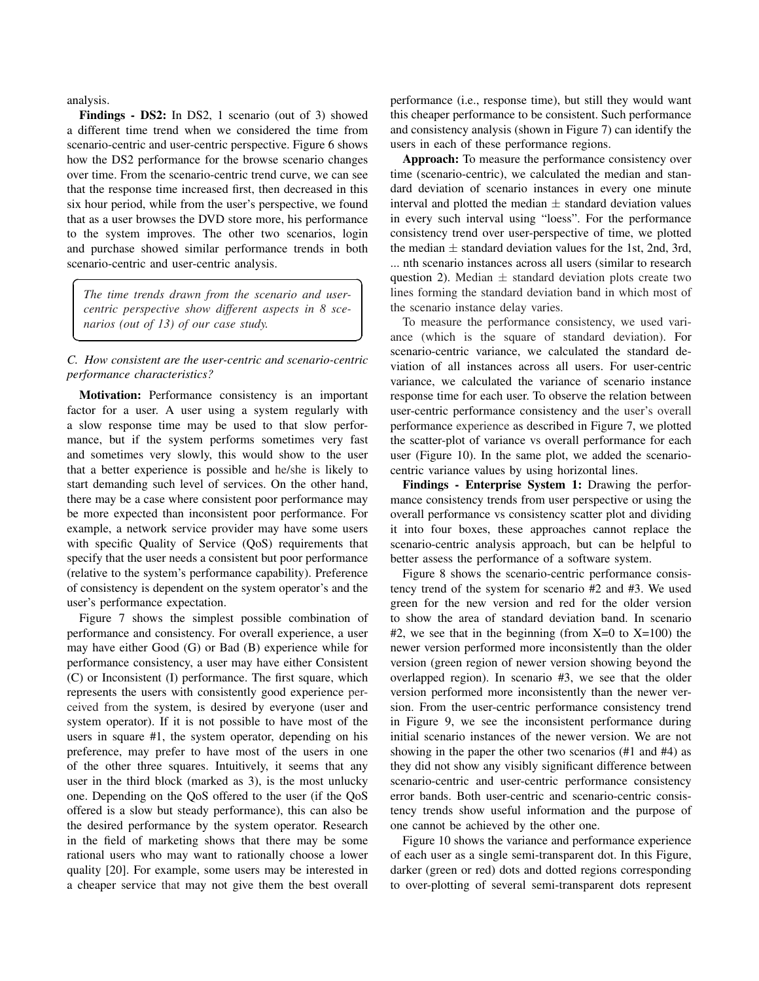analysis.

 $\overline{a}$ 

✝

Findings - DS2: In DS2, 1 scenario (out of 3) showed a different time trend when we considered the time from scenario-centric and user-centric perspective. Figure 6 shows how the DS2 performance for the browse scenario changes over time. From the scenario-centric trend curve, we can see that the response time increased first, then decreased in this six hour period, while from the user's perspective, we found that as a user browses the DVD store more, his performance to the system improves. The other two scenarios, login and purchase showed similar performance trends in both scenario-centric and user-centric analysis.

*The time trends drawn from the scenario and usercentric perspective show different aspects in 8 scenarios (out of 13) of our case study.*

☎

✆

### *C. How consistent are the user-centric and scenario-centric performance characteristics?*

Motivation: Performance consistency is an important factor for a user. A user using a system regularly with a slow response time may be used to that slow performance, but if the system performs sometimes very fast and sometimes very slowly, this would show to the user that a better experience is possible and he/she is likely to start demanding such level of services. On the other hand, there may be a case where consistent poor performance may be more expected than inconsistent poor performance. For example, a network service provider may have some users with specific Quality of Service (QoS) requirements that specify that the user needs a consistent but poor performance (relative to the system's performance capability). Preference of consistency is dependent on the system operator's and the user's performance expectation.

Figure 7 shows the simplest possible combination of performance and consistency. For overall experience, a user may have either Good (G) or Bad (B) experience while for performance consistency, a user may have either Consistent (C) or Inconsistent (I) performance. The first square, which represents the users with consistently good experience perceived from the system, is desired by everyone (user and system operator). If it is not possible to have most of the users in square #1, the system operator, depending on his preference, may prefer to have most of the users in one of the other three squares. Intuitively, it seems that any user in the third block (marked as 3), is the most unlucky one. Depending on the QoS offered to the user (if the QoS offered is a slow but steady performance), this can also be the desired performance by the system operator. Research in the field of marketing shows that there may be some rational users who may want to rationally choose a lower quality [20]. For example, some users may be interested in a cheaper service that may not give them the best overall

performance (i.e., response time), but still they would want this cheaper performance to be consistent. Such performance and consistency analysis (shown in Figure 7) can identify the users in each of these performance regions.

Approach: To measure the performance consistency over time (scenario-centric), we calculated the median and standard deviation of scenario instances in every one minute interval and plotted the median  $\pm$  standard deviation values in every such interval using "loess". For the performance consistency trend over user-perspective of time, we plotted the median  $\pm$  standard deviation values for the 1st, 2nd, 3rd, ... nth scenario instances across all users (similar to research question 2). Median  $\pm$  standard deviation plots create two lines forming the standard deviation band in which most of the scenario instance delay varies.

To measure the performance consistency, we used variance (which is the square of standard deviation). For scenario-centric variance, we calculated the standard deviation of all instances across all users. For user-centric variance, we calculated the variance of scenario instance response time for each user. To observe the relation between user-centric performance consistency and the user's overall performance experience as described in Figure 7, we plotted the scatter-plot of variance vs overall performance for each user (Figure 10). In the same plot, we added the scenariocentric variance values by using horizontal lines.

Findings - Enterprise System 1: Drawing the performance consistency trends from user perspective or using the overall performance vs consistency scatter plot and dividing it into four boxes, these approaches cannot replace the scenario-centric analysis approach, but can be helpful to better assess the performance of a software system.

Figure 8 shows the scenario-centric performance consistency trend of the system for scenario #2 and #3. We used green for the new version and red for the older version to show the area of standard deviation band. In scenario  $#2$ , we see that in the beginning (from X=0 to X=100) the newer version performed more inconsistently than the older version (green region of newer version showing beyond the overlapped region). In scenario #3, we see that the older version performed more inconsistently than the newer version. From the user-centric performance consistency trend in Figure 9, we see the inconsistent performance during initial scenario instances of the newer version. We are not showing in the paper the other two scenarios (#1 and #4) as they did not show any visibly significant difference between scenario-centric and user-centric performance consistency error bands. Both user-centric and scenario-centric consistency trends show useful information and the purpose of one cannot be achieved by the other one.

Figure 10 shows the variance and performance experience of each user as a single semi-transparent dot. In this Figure, darker (green or red) dots and dotted regions corresponding to over-plotting of several semi-transparent dots represent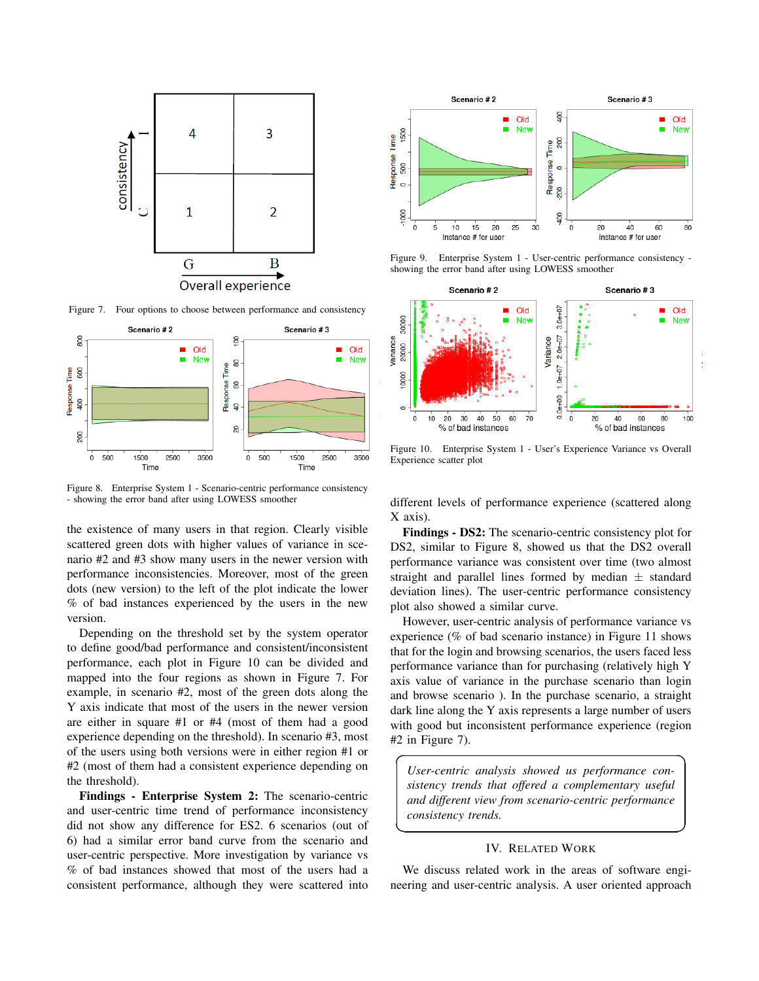

Figure 7. Four options to choose between performance and consistency



Figure 8. Enterprise System 1 - Scenario-centric performance consistency - showing the error band after using LOWESS smoother

the existence of many users in that region. Clearly visible scattered green dots with higher values of variance in scenario #2 and #3 show many users in the newer version with performance inconsistencies. Moreover, most of the green dots (new version) to the left of the plot indicate the lower % of bad instances experienced by the users in the new version.

Depending on the threshold set by the system operator to define good/bad performance and consistent/inconsistent performance, each plot in Figure 10 can be divided and mapped into the four regions as shown in Figure 7. For example, in scenario #2, most of the green dots along the Y axis indicate that most of the users in the newer version are either in square #1 or #4 (most of them had a good experience depending on the threshold). In scenario #3, most of the users using both versions were in either region #1 or #2 (most of them had a consistent experience depending on the threshold).

Findings - Enterprise System 2: The scenario-centric and user-centric time trend of performance inconsistency did not show any difference for ES2. 6 scenarios (out of 6) had a similar error band curve from the scenario and user-centric perspective. More investigation by variance vs % of bad instances showed that most of the users had a consistent performance, although they were scattered into



Figure 9. Enterprise System 1 - User-centric performance consistency showing the error band after using LOWESS smoother



Figure 10. Enterprise System 1 - User's Experience Variance vs Overall Experience scatter plot

different levels of performance experience (scattered along X axis).

Findings - DS2: The scenario-centric consistency plot for DS2, similar to Figure 8, showed us that the DS2 overall performance variance was consistent over time (two almost straight and parallel lines formed by median  $\pm$  standard deviation lines). The user-centric performance consistency plot also showed a similar curve.

However, user-centric analysis of performance variance vs experience (% of bad scenario instance) in Figure 11 shows that for the login and browsing scenarios, the users faced less performance variance than for purchasing (relatively high Y axis value of variance in the purchase scenario than login and browse scenario ). In the purchase scenario, a straight dark line along the Y axis represents a large number of users with good but inconsistent performance experience (region #2 in Figure 7).

*User-centric analysis showed us performance consistency trends that offered a complementary useful and different view from scenario-centric performance consistency trends.*

☛

 $\searrow$ 

## IV. RELATED WORK

We discuss related work in the areas of software engineering and user-centric analysis. A user oriented approach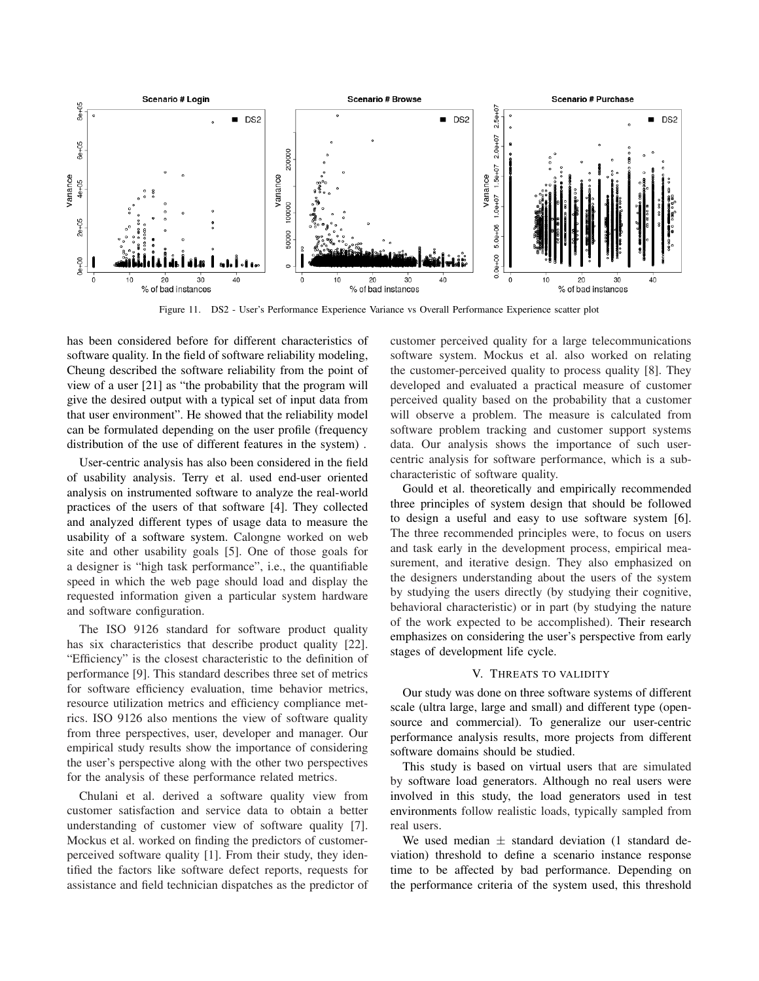

Figure 11. DS2 - User's Performance Experience Variance vs Overall Performance Experience scatter plot

has been considered before for different characteristics of software quality. In the field of software reliability modeling, Cheung described the software reliability from the point of view of a user [21] as "the probability that the program will give the desired output with a typical set of input data from that user environment". He showed that the reliability model can be formulated depending on the user profile (frequency distribution of the use of different features in the system) .

User-centric analysis has also been considered in the field of usability analysis. Terry et al. used end-user oriented analysis on instrumented software to analyze the real-world practices of the users of that software [4]. They collected and analyzed different types of usage data to measure the usability of a software system. Calongne worked on web site and other usability goals [5]. One of those goals for a designer is "high task performance", i.e., the quantifiable speed in which the web page should load and display the requested information given a particular system hardware and software configuration.

The ISO 9126 standard for software product quality has six characteristics that describe product quality [22]. "Efficiency" is the closest characteristic to the definition of performance [9]. This standard describes three set of metrics for software efficiency evaluation, time behavior metrics, resource utilization metrics and efficiency compliance metrics. ISO 9126 also mentions the view of software quality from three perspectives, user, developer and manager. Our empirical study results show the importance of considering the user's perspective along with the other two perspectives for the analysis of these performance related metrics.

Chulani et al. derived a software quality view from customer satisfaction and service data to obtain a better understanding of customer view of software quality [7]. Mockus et al. worked on finding the predictors of customerperceived software quality [1]. From their study, they identified the factors like software defect reports, requests for assistance and field technician dispatches as the predictor of customer perceived quality for a large telecommunications software system. Mockus et al. also worked on relating the customer-perceived quality to process quality [8]. They developed and evaluated a practical measure of customer perceived quality based on the probability that a customer will observe a problem. The measure is calculated from software problem tracking and customer support systems data. Our analysis shows the importance of such usercentric analysis for software performance, which is a subcharacteristic of software quality.

Gould et al. theoretically and empirically recommended three principles of system design that should be followed to design a useful and easy to use software system [6]. The three recommended principles were, to focus on users and task early in the development process, empirical measurement, and iterative design. They also emphasized on the designers understanding about the users of the system by studying the users directly (by studying their cognitive, behavioral characteristic) or in part (by studying the nature of the work expected to be accomplished). Their research emphasizes on considering the user's perspective from early stages of development life cycle.

### V. THREATS TO VALIDITY

Our study was done on three software systems of different scale (ultra large, large and small) and different type (opensource and commercial). To generalize our user-centric performance analysis results, more projects from different software domains should be studied.

This study is based on virtual users that are simulated by software load generators. Although no real users were involved in this study, the load generators used in test environments follow realistic loads, typically sampled from real users.

We used median  $\pm$  standard deviation (1 standard deviation) threshold to define a scenario instance response time to be affected by bad performance. Depending on the performance criteria of the system used, this threshold